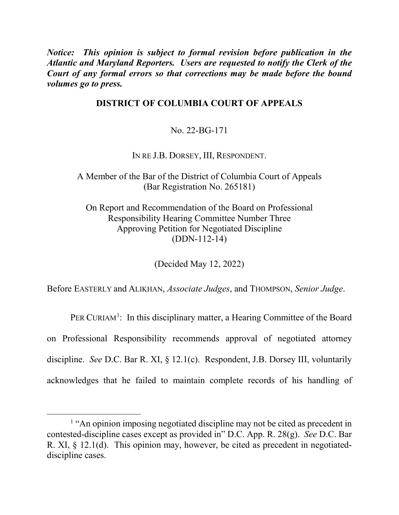*Notice: This opinion is subject to formal revision before publication in the Atlantic and Maryland Reporters. Users are requested to notify the Clerk of the Court of any formal errors so that corrections may be made before the bound volumes go to press.* 

## **DISTRICT OF COLUMBIA COURT OF APPEALS**

No. 22-BG-171

IN RE J.B. DORSEY, III, RESPONDENT.

A Member of the Bar of the District of Columbia Court of Appeals (Bar Registration No. 265181)

On Report and Recommendation of the Board on Professional Responsibility Hearing Committee Number Three Approving Petition for Negotiated Discipline (DDN-112-14)

(Decided May 12, 2022)

Before EASTERLY and ALIKHAN, *Associate Judges*, and THOMPSON, *Senior Judge*.

PER CURIAM<sup>[1](#page-0-0)</sup>: In this disciplinary matter, a Hearing Committee of the Board on Professional Responsibility recommends approval of negotiated attorney discipline. *See* D.C. Bar R. XI, § 12.1(c). Respondent, J.B. Dorsey III, voluntarily acknowledges that he failed to maintain complete records of his handling of

<span id="page-0-0"></span><sup>&</sup>lt;sup>1</sup> "An opinion imposing negotiated discipline may not be cited as precedent in contested-discipline cases except as provided in" D.C. App. R. 28(g). *See* D.C. Bar R. XI, § 12.1(d). This opinion may, however, be cited as precedent in negotiateddiscipline cases.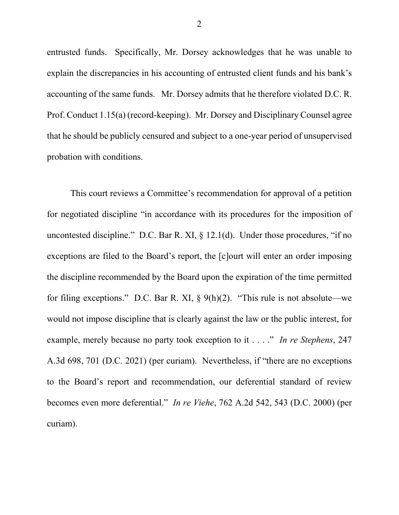entrusted funds. Specifically, Mr. Dorsey acknowledges that he was unable to explain the discrepancies in his accounting of entrusted client funds and his bank's accounting of the same funds. Mr. Dorsey admits that he therefore violated D.C. R. Prof. Conduct 1.15(a) (record-keeping). Mr. Dorsey and Disciplinary Counsel agree that he should be publicly censured and subject to a one-year period of unsupervised probation with conditions.

This court reviews a Committee's recommendation for approval of a petition for negotiated discipline "in accordance with its procedures for the imposition of uncontested discipline." D.C. Bar R. XI,  $\S$  12.1(d). Under those procedures, "if no exceptions are filed to the Board's report, the [c]ourt will enter an order imposing the discipline recommended by the Board upon the expiration of the time permitted for filing exceptions." D.C. Bar R. XI,  $\S$  9(h)(2). "This rule is not absolute—we would not impose discipline that is clearly against the law or the public interest, for example, merely because no party took exception to it . . . ." *In re Stephens*, 247 A.3d 698, 701 (D.C. 2021) (per curiam). Nevertheless, if "there are no exceptions to the Board's report and recommendation, our deferential standard of review becomes even more deferential." *In re Viehe*, 762 A.2d 542, 543 (D.C. 2000) (per curiam).